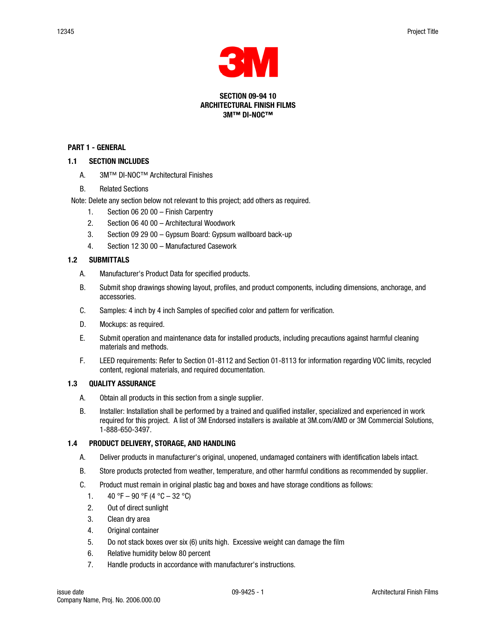

#### SECTION 09-94 10 ARCHITECTURAL FINISH FILMS 3M™ DI-NOC™

#### PART 1 - GENERAL

### 1.1 SECTION INCLUDES

- A. 3M™ DI-NOC™ Architectural Finishes
- B. Related Sections

Note: Delete any section below not relevant to this project; add others as required.

- 1. Section 06 20 00 Finish Carpentry
- 2. Section 06 40 00 Architectural Woodwork
- 3. Section 09 29 00 Gypsum Board: Gypsum wallboard back-up
- 4. Section 12 30 00 Manufactured Casework

### 1.2 SUBMITTALS

- A. Manufacturer's Product Data for specified products.
- B. Submit shop drawings showing layout, profiles, and product components, including dimensions, anchorage, and accessories.
- C. Samples: 4 inch by 4 inch Samples of specified color and pattern for verification.
- D. Mockups: as required.
- E. Submit operation and maintenance data for installed products, including precautions against harmful cleaning materials and methods.
- F. LEED requirements: Refer to Section 01-8112 and Section 01-8113 for information regarding VOC limits, recycled content, regional materials, and required documentation.

#### 1.3 QUALITY ASSURANCE

- A. Obtain all products in this section from a single supplier.
- B. Installer: Installation shall be performed by a trained and qualified installer, specialized and experienced in work required for this project. A list of 3M Endorsed installers is available at 3M.com/AMD or 3M Commercial Solutions, 1-888-650-3497.

# 1.4 PRODUCT DELIVERY, STORAGE, AND HANDLING

- A. Deliver products in manufacturer's original, unopened, undamaged containers with identification labels intact.
- B. Store products protected from weather, temperature, and other harmful conditions as recommended by supplier.
- C. Product must remain in original plastic bag and boxes and have storage conditions as follows:
	- 1.  $40 \text{ }^{\circ}\text{F} 90 \text{ }^{\circ}\text{F}$  (4  $\text{ }^{\circ}\text{C} 32 \text{ }^{\circ}\text{C}$ )
	- 2. Out of direct sunlight
	- 3. Clean dry area
	- 4. Original container
	- 5. Do not stack boxes over six (6) units high. Excessive weight can damage the film
	- 6. Relative humidity below 80 percent
	- 7. Handle products in accordance with manufacturer's instructions.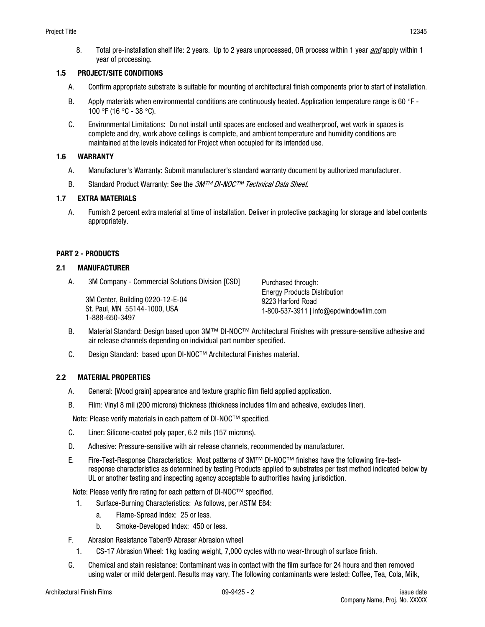8. Total pre-installation shelf life: 2 years. Up to 2 years unprocessed, OR process within 1 year *and* apply within 1 year of processing.

### 1.5 PROJECT/SITE CONDITIONS

- A. Confirm appropriate substrate is suitable for mounting of architectural finish components prior to start of installation.
- B. Apply materials when environmental conditions are continuously heated. Application temperature range is 60  $\degree$ F -100 °F (16 °C - 38 °C).
- C. Environmental Limitations: Do not install until spaces are enclosed and weatherproof, wet work in spaces is complete and dry, work above ceilings is complete, and ambient temperature and humidity conditions are maintained at the levels indicated for Project when occupied for its intended use.

### 1.6 WARRANTY

- A. Manufacturer's Warranty: Submit manufacturer's standard warranty document by authorized manufacturer.
- B. Standard Product Warranty: See the 3M™ DI-NOC™ Technical Data Sheet.

# 1.7 EXTRA MATERIALS

A. Furnish 2 percent extra material at time of installation. Deliver in protective packaging for storage and label contents appropriately.

# PART 2 - PRODUCTS

### 2.1 MANUFACTURER

A. 3M Company - Commercial Solutions Division [CSD]

3M Center, Building 0220-12-E-04 St. Paul, MN 55144-1000, USA 1-888-650-3497

Purchased through: Energy Products Distribution 9223 Harford Road 1-800-537-3911 | info@epdwindowfilm.com

- B. Material Standard: Design based upon 3M™ DI-NOC™ Architectural Finishes with pressure-sensitive adhesive and air release channels depending on individual part number specified.
- C. Design Standard: based upon DI-NOC™ Architectural Finishes material.

# 2.2 MATERIAL PROPERTIES

- A. General: [Wood grain] appearance and texture graphic film field applied application.
- B. Film: Vinyl 8 mil (200 microns) thickness (thickness includes film and adhesive, excludes liner).

Note: Please verify materials in each pattern of DI-NOC™ specified.

- C. Liner: Silicone-coated poly paper, 6.2 mils (157 microns).
- D. Adhesive: Pressure-sensitive with air release channels, recommended by manufacturer.
- E. Fire-Test-Response Characteristics: Most patterns of 3M™ DI-NOC™ finishes have the following fire-testresponse characteristics as determined by testing Products applied to substrates per test method indicated below by UL or another testing and inspecting agency acceptable to authorities having jurisdiction.

Note: Please verify fire rating for each pattern of DI-NOC™ specified.

- 1. Surface-Burning Characteristics: As follows, per ASTM E84:
	- a. Flame-Spread Index: 25 or less.
	- b. Smoke-Developed Index: 450 or less.
- F. Abrasion Resistance Taber® Abraser Abrasion wheel
	- 1. CS-17 Abrasion Wheel: 1kg loading weight, 7,000 cycles with no wear-through of surface finish.
- G. Chemical and stain resistance: Contaminant was in contact with the film surface for 24 hours and then removed using water or mild detergent. Results may vary. The following contaminants were tested: Coffee, Tea, Cola, Milk,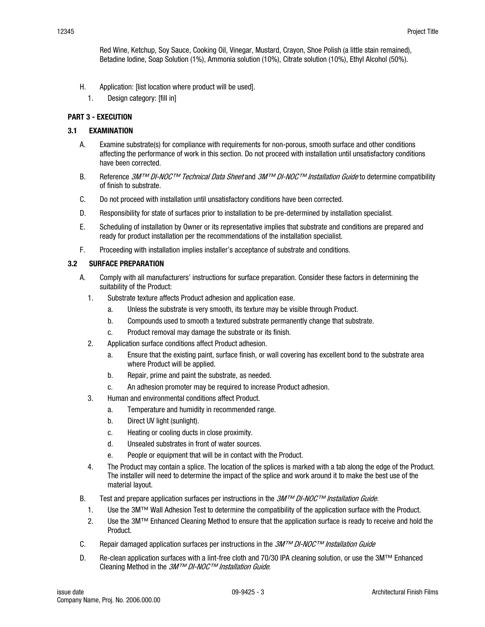Red Wine, Ketchup, Soy Sauce, Cooking Oil, Vinegar, Mustard, Crayon, Shoe Polish (a little stain remained), Betadine Iodine, Soap Solution (1%), Ammonia solution (10%), Citrate solution (10%), Ethyl Alcohol (50%).

- H. Application: [list location where product will be used].
	- 1. Design category: [fill in]

### PART 3 - EXECUTION

### 3.1 EXAMINATION

- A. Examine substrate(s) for compliance with requirements for non-porous, smooth surface and other conditions affecting the performance of work in this section. Do not proceed with installation until unsatisfactory conditions have been corrected.
- B. Reference 3M™ DI-NOC™ Technical Data Sheet and 3M™ DI-NOC™ Installation Guide to determine compatibility of finish to substrate.
- C. Do not proceed with installation until unsatisfactory conditions have been corrected.
- D. Responsibility for state of surfaces prior to installation to be pre-determined by installation specialist.
- E. Scheduling of installation by Owner or its representative implies that substrate and conditions are prepared and ready for product installation per the recommendations of the installation specialist.
- F. Proceeding with installation implies installer's acceptance of substrate and conditions.

### 3.2 SURFACE PREPARATION

- A. Comply with all manufacturers' instructions for surface preparation. Consider these factors in determining the suitability of the Product:
	- 1. Substrate texture affects Product adhesion and application ease.
		- a. Unless the substrate is very smooth, its texture may be visible through Product.
		- b. Compounds used to smooth a textured substrate permanently change that substrate.
		- c. Product removal may damage the substrate or its finish.
	- 2. Application surface conditions affect Product adhesion.
		- a. Ensure that the existing paint, surface finish, or wall covering has excellent bond to the substrate area where Product will be applied.
		- b. Repair, prime and paint the substrate, as needed.
		- c. An adhesion promoter may be required to increase Product adhesion.
	- 3. Human and environmental conditions affect Product.
		- a. Temperature and humidity in recommended range.
		- b. Direct UV light (sunlight).
		- c. Heating or cooling ducts in close proximity.
		- d. Unsealed substrates in front of water sources.
		- e. People or equipment that will be in contact with the Product.
	- 4. The Product may contain a splice. The location of the splices is marked with a tab along the edge of the Product. The installer will need to determine the impact of the splice and work around it to make the best use of the material layout.
- B. Test and prepare application surfaces per instructions in the  $3M^{\tau M}$  DI-NOC<sup>TM</sup> Installation Guide.
	- 1. Use the 3M™ Wall Adhesion Test to determine the compatibility of the application surface with the Product.
	- 2. Use the 3M™ Enhanced Cleaning Method to ensure that the application surface is ready to receive and hold the Product.
- C. Repair damaged application surfaces per instructions in the  $3M^{\tau M}$  DI-NOC<sup>TM</sup> Installation Guide
- D. Re-clean application surfaces with a lint-free cloth and 70/30 IPA cleaning solution, or use the 3M™ Enhanced Cleaning Method in the  $3M^{TM}$  DI-NOC<sup>TM</sup> Installation Guide.